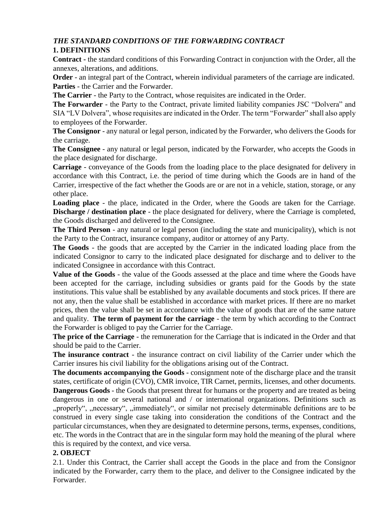## *THE STANDARD CONDITIONS OF THE FORWARDING CONTRACT*  **1. DEFINITIONS**

**Contract -** the standard conditions of this Forwarding Contract in conjunction with the Order, all the annexes, alterations, and additions.

**Order** - an integral part of the Contract, wherein individual parameters of the carriage are indicated. **Parties** - the Carrier and the Forwarder.

**The Carrier** - the Party to the Contract, whose requisites are indicated in the Order.

**The Forwarder** - the Party to the Contract, private limited liability companies JSC "Dolvera" and SIA "LV Dolvera", whose requisites are indicated in the Order. The term "Forwarder" shall also apply to employees of the Forwarder.

**The Consignor** - any natural or legal person, indicated by the Forwarder, who delivers the Goods for the carriage.

**The Consignee** - any natural or legal person, indicated by the Forwarder, who accepts the Goods in the place designated for discharge.

**Carriage** - conveyance of the Goods from the loading place to the place designated for delivery in accordance with this Contract, i.e. the period of time during which the Goods are in hand of the Carrier, irrespective of the fact whether the Goods are or are not in a vehicle, station, storage, or any other place.

**Loading place** - the place, indicated in the Order, where the Goods are taken for the Carriage. **Discharge / destination place** - the place designated for delivery, where the Carriage is completed, the Goods discharged and delivered to the Consignee.

**The Third Person** - any natural or legal person (including the state and municipality), which is not the Party to the Contract, insurance company, auditor or attorney of any Party.

**The Goods** - the goods that are accepted by the Carrier in the indicated loading place from the indicated Consignor to carry to the indicated place designated for discharge and to deliver to the indicated Consignee in accordance with this Contract.

**Value of the Goods** - the value of the Goods assessed at the place and time where the Goods have been accepted for the carriage, including subsidies or grants paid for the Goods by the state institutions. This value shall be established by any available documents and stock prices. If there are not any, then the value shall be established in accordance with market prices. If there are no market prices, then the value shall be set in accordance with the value of goods that are of the same nature and quality. **The term of payment for the carriage** - the term by which according to the Contract the Forwarder is obliged to pay the Carrier for the Carriage.

**The price of the Carriage** - the remuneration for the Carriage that is indicated in the Order and that should be paid to the Carrier.

**The insurance contract** - the insurance contract on civil liability of the Carrier under which the Carrier insures his civil liability for the obligations arising out of the Contract.

**The documents accompanying the Goods** - consignment note of the discharge place and the transit states, certificate of origin (CVO), CMR invoice, TIR Carnet, permits, licenses, and other documents. **Dangerous Goods** - the Goods that present threat for humans or the property and are treated as being dangerous in one or several national and / or international organizations. Definitions such as "properly", "necessary", "immediately", or similar not precisely determinable definitions are to be construed in every single case taking into consideration the conditions of the Contract and the particular circumstances, when they are designated to determine persons, terms, expenses, conditions,

### **2. OBJECT**

this is required by the context, and vice versa.

2.1. Under this Contract, the Carrier shall accept the Goods in the place and from the Consignor indicated by the Forwarder, carry them to the place, and deliver to the Consignee indicated by the Forwarder.

etc. The words in the Contract that are in the singular form may hold the meaning of the plural where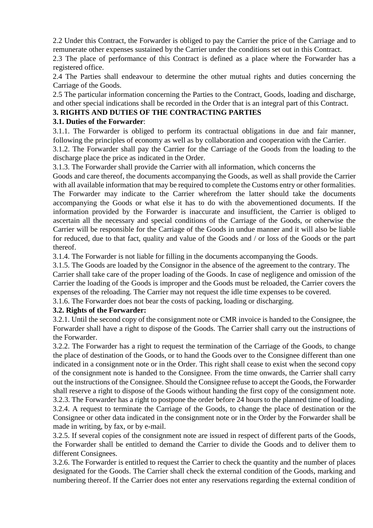2.2 Under this Contract, the Forwarder is obliged to pay the Carrier the price of the Carriage and to remunerate other expenses sustained by the Carrier under the conditions set out in this Contract.

2.3 The place of performance of this Contract is defined as a place where the Forwarder has a registered office.

2.4 The Parties shall endeavour to determine the other mutual rights and duties concerning the Carriage of the Goods.

2.5 The particular information concerning the Parties to the Contract, Goods, loading and discharge, and other special indications shall be recorded in the Order that is an integral part of this Contract.

## **3. RIGHTS AND DUTIES OF THE CONTRACTING PARTIES**

### **3.1. Duties of the Forwarder**:

3.1.1. The Forwarder is obliged to perform its contractual obligations in due and fair manner, following the principles of economy as well as by collaboration and cooperation with the Carrier.

3.1.2. The Forwarder shall pay the Carrier for the Carriage of the Goods from the loading to the discharge place the price as indicated in the Order.

3.1.3. The Forwarder shall provide the Carrier with all information, which concerns the

Goods and care thereof, the documents accompanying the Goods, as well as shall provide the Carrier with all available information that may be required to complete the Customs entry or other formalities. The Forwarder may indicate to the Carrier wherefrom the latter should take the documents accompanying the Goods or what else it has to do with the abovementioned documents. If the information provided by the Forwarder is inaccurate and insufficient, the Carrier is obliged to ascertain all the necessary and special conditions of the Carriage of the Goods, or otherwise the Carrier will be responsible for the Carriage of the Goods in undue manner and it will also be liable for reduced, due to that fact, quality and value of the Goods and / or loss of the Goods or the part thereof.

3.1.4. The Forwarder is not liable for filling in the documents accompanying the Goods.

3.1.5. The Goods are loaded by the Consignor in the absence of the agreement to the contrary. The Carrier shall take care of the proper loading of the Goods. In case of negligence and omission of the Carrier the loading of the Goods is improper and the Goods must be reloaded, the Carrier covers the expenses of the reloading. The Carrier may not request the idle time expenses to be covered.

3.1.6. The Forwarder does not bear the costs of packing, loading or discharging.

### **3.2. Rights of the Forwarder:**

3.2.1. Until the second copy of the consignment note or CMR invoice is handed to the Consignee, the Forwarder shall have a right to dispose of the Goods. The Carrier shall carry out the instructions of the Forwarder.

3.2.2. The Forwarder has a right to request the termination of the Carriage of the Goods, to change the place of destination of the Goods, or to hand the Goods over to the Consignee different than one indicated in a consignment note or in the Order. This right shall cease to exist when the second copy of the consignment note is handed to the Consignee. From the time onwards, the Carrier shall carry out the instructions of the Consignee. Should the Consignee refuse to accept the Goods, the Forwarder shall reserve a right to dispose of the Goods without handing the first copy of the consignment note. 3.2.3. The Forwarder has a right to postpone the order before 24 hours to the planned time of loading. 3.2.4. A request to terminate the Carriage of the Goods, to change the place of destination or the Consignee or other data indicated in the consignment note or in the Order by the Forwarder shall be made in writing, by fax, or by e-mail.

3.2.5. If several copies of the consignment note are issued in respect of different parts of the Goods, the Forwarder shall be entitled to demand the Carrier to divide the Goods and to deliver them to different Consignees.

3.2.6. The Forwarder is entitled to request the Carrier to check the quantity and the number of places designated for the Goods. The Carrier shall check the external condition of the Goods, marking and numbering thereof. If the Carrier does not enter any reservations regarding the external condition of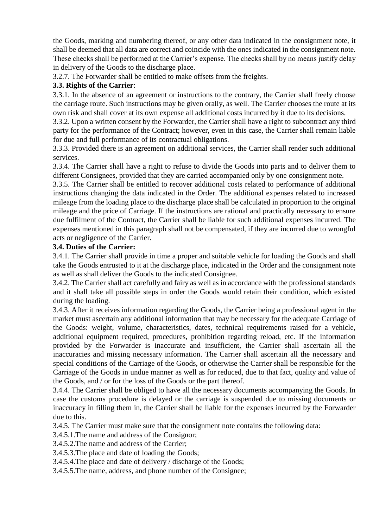the Goods, marking and numbering thereof, or any other data indicated in the consignment note, it shall be deemed that all data are correct and coincide with the ones indicated in the consignment note. These checks shall be performed at the Carrier's expense. The checks shall by no means justify delay in delivery of the Goods to the discharge place.

3.2.7. The Forwarder shall be entitled to make offsets from the freights.

### **3.3. Rights of the Carrier**:

3.3.1. In the absence of an agreement or instructions to the contrary, the Carrier shall freely choose the carriage route. Such instructions may be given orally, as well. The Carrier chooses the route at its own risk and shall cover at its own expense all additional costs incurred by it due to its decisions.

3.3.2. Upon a written consent by the Forwarder, the Carrier shall have a right to subcontract any third party for the performance of the Contract; however, even in this case, the Carrier shall remain liable for due and full performance of its contractual obligations.

3.3.3. Provided there is an agreement on additional services, the Carrier shall render such additional services.

3.3.4. The Carrier shall have a right to refuse to divide the Goods into parts and to deliver them to different Consignees, provided that they are carried accompanied only by one consignment note.

3.3.5. The Carrier shall be entitled to recover additional costs related to performance of additional instructions changing the data indicated in the Order. The additional expenses related to increased mileage from the loading place to the discharge place shall be calculated in proportion to the original mileage and the price of Carriage. If the instructions are rational and practically necessary to ensure due fulfilment of the Contract, the Carrier shall be liable for such additional expenses incurred. The expenses mentioned in this paragraph shall not be compensated, if they are incurred due to wrongful acts or negligence of the Carrier.

### **3.4. Duties of the Carrier:**

3.4.1. The Carrier shall provide in time a proper and suitable vehicle for loading the Goods and shall take the Goods entrusted to it at the discharge place, indicated in the Order and the consignment note as well as shall deliver the Goods to the indicated Consignee.

3.4.2. The Carrier shall act carefully and fairy as well as in accordance with the professional standards and it shall take all possible steps in order the Goods would retain their condition, which existed during the loading.

3.4.3. After it receives information regarding the Goods, the Carrier being a professional agent in the market must ascertain any additional information that may be necessary for the adequate Carriage of the Goods: weight, volume, characteristics, dates, technical requirements raised for a vehicle, additional equipment required, procedures, prohibition regarding reload, etc. If the information provided by the Forwarder is inaccurate and insufficient, the Carrier shall ascertain all the inaccuracies and missing necessary information. The Carrier shall ascertain all the necessary and special conditions of the Carriage of the Goods, or otherwise the Carrier shall be responsible for the Carriage of the Goods in undue manner as well as for reduced, due to that fact, quality and value of the Goods, and / or for the loss of the Goods or the part thereof.

3.4.4. The Carrier shall be obliged to have all the necessary documents accompanying the Goods. In case the customs procedure is delayed or the carriage is suspended due to missing documents or inaccuracy in filling them in, the Carrier shall be liable for the expenses incurred by the Forwarder due to this.

3.4.5. The Carrier must make sure that the consignment note contains the following data:

3.4.5.1.The name and address of the Consignor;

3.4.5.2.The name and address of the Carrier;

3.4.5.3.The place and date of loading the Goods;

3.4.5.4.The place and date of delivery / discharge of the Goods;

3.4.5.5.The name, address, and phone number of the Consignee;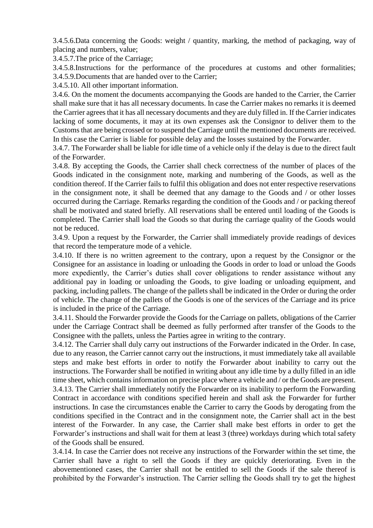3.4.5.6.Data concerning the Goods: weight / quantity, marking, the method of packaging, way of placing and numbers, value;

3.4.5.7.The price of the Carriage;

3.4.5.8.Instructions for the performance of the procedures at customs and other formalities; 3.4.5.9.Documents that are handed over to the Carrier;

3.4.5.10. All other important information.

3.4.6. On the moment the documents accompanying the Goods are handed to the Carrier, the Carrier shall make sure that it has all necessary documents. In case the Carrier makes no remarks it is deemed the Carrier agrees that it has all necessary documents and they are duly filled in. If the Carrier indicates lacking of some documents, it may at its own expenses ask the Consignor to deliver them to the Customs that are being crossed or to suspend the Carriage until the mentioned documents are received. In this case the Carrier is liable for possible delay and the losses sustained by the Forwarder.

3.4.7. The Forwarder shall be liable for idle time of a vehicle only if the delay is due to the direct fault of the Forwarder.

3.4.8. By accepting the Goods, the Carrier shall check correctness of the number of places of the Goods indicated in the consignment note, marking and numbering of the Goods, as well as the condition thereof. If the Carrier fails to fulfil this obligation and does not enter respective reservations in the consignment note, it shall be deemed that any damage to the Goods and / or other losses occurred during the Carriage. Remarks regarding the condition of the Goods and / or packing thereof shall be motivated and stated briefly. All reservations shall be entered until loading of the Goods is completed. The Carrier shall load the Goods so that during the carriage quality of the Goods would not be reduced.

3.4.9. Upon a request by the Forwarder, the Carrier shall immediately provide readings of devices that record the temperature mode of a vehicle.

3.4.10. If there is no written agreement to the contrary, upon a request by the Consignor or the Consignee for an assistance in loading or unloading the Goods in order to load or unload the Goods more expediently, the Carrier's duties shall cover obligations to render assistance without any additional pay in loading or unloading the Goods, to give loading or unloading equipment, and packing, including pallets. The change of the pallets shall be indicated in the Order or during the order of vehicle. The change of the pallets of the Goods is one of the services of the Carriage and its price is included in the price of the Carriage.

3.4.11. Should the Forwarder provide the Goods for the Carriage on pallets, obligations of the Carrier under the Carriage Contract shall be deemed as fully performed after transfer of the Goods to the Consignee with the pallets, unless the Parties agree in writing to the contrary.

3.4.12. The Carrier shall duly carry out instructions of the Forwarder indicated in the Order. In case, due to any reason, the Carrier cannot carry out the instructions, it must immediately take all available steps and make best efforts in order to notify the Forwarder about inability to carry out the instructions. The Forwarder shall be notified in writing about any idle time by a dully filled in an idle time sheet, which contains information on precise place where a vehicle and / or the Goods are present. 3.4.13. The Carrier shall immediately notify the Forwarder on its inability to perform the Forwarding Contract in accordance with conditions specified herein and shall ask the Forwarder for further instructions. In case the circumstances enable the Carrier to carry the Goods by derogating from the conditions specified in the Contract and in the consignment note, the Carrier shall act in the best interest of the Forwarder. In any case, the Carrier shall make best efforts in order to get the Forwarder's instructions and shall wait for them at least 3 (three) workdays during which total safety of the Goods shall be ensured.

3.4.14. In case the Carrier does not receive any instructions of the Forwarder within the set time, the Carrier shall have a right to sell the Goods if they are quickly deteriorating. Even in the abovementioned cases, the Carrier shall not be entitled to sell the Goods if the sale thereof is prohibited by the Forwarder's instruction. The Carrier selling the Goods shall try to get the highest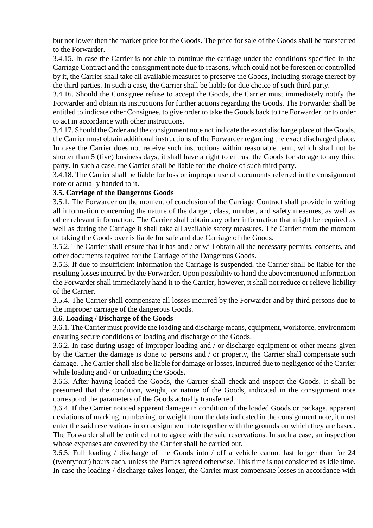but not lower then the market price for the Goods. The price for sale of the Goods shall be transferred to the Forwarder.

3.4.15. In case the Carrier is not able to continue the carriage under the conditions specified in the Carriage Contract and the consignment note due to reasons, which could not be foreseen or controlled by it, the Carrier shall take all available measures to preserve the Goods, including storage thereof by the third parties. In such a case, the Carrier shall be liable for due choice of such third party.

3.4.16. Should the Consignee refuse to accept the Goods, the Carrier must immediately notify the Forwarder and obtain its instructions for further actions regarding the Goods. The Forwarder shall be entitled to indicate other Consignee, to give order to take the Goods back to the Forwarder, or to order to act in accordance with other instructions.

3.4.17. Should the Order and the consignment note not indicate the exact discharge place of the Goods, the Carrier must obtain additional instructions of the Forwarder regarding the exact discharged place. In case the Carrier does not receive such instructions within reasonable term, which shall not be shorter than 5 (five) business days, it shall have a right to entrust the Goods for storage to any third party. In such a case, the Carrier shall be liable for the choice of such third party.

3.4.18. The Carrier shall be liable for loss or improper use of documents referred in the consignment note or actually handed to it.

### **3.5. Carriage of the Dangerous Goods**

3.5.1. The Forwarder on the moment of conclusion of the Carriage Contract shall provide in writing all information concerning the nature of the danger, class, number, and safety measures, as well as other relevant information. The Carrier shall obtain any other information that might be required as well as during the Carriage it shall take all available safety measures. The Carrier from the moment of taking the Goods over is liable for safe and due Carriage of the Goods.

3.5.2. The Carrier shall ensure that it has and / or will obtain all the necessary permits, consents, and other documents required for the Carriage of the Dangerous Goods.

3.5.3. If due to insufficient information the Carriage is suspended, the Carrier shall be liable for the resulting losses incurred by the Forwarder. Upon possibility to hand the abovementioned information the Forwarder shall immediately hand it to the Carrier, however, it shall not reduce or relieve liability of the Carrier.

3.5.4. The Carrier shall compensate all losses incurred by the Forwarder and by third persons due to the improper carriage of the dangerous Goods.

#### **3.6. Loading / Discharge of the Goods**

3.6.1. The Carrier must provide the loading and discharge means, equipment, workforce, environment ensuring secure conditions of loading and discharge of the Goods.

3.6.2. In case during usage of improper loading and / or discharge equipment or other means given by the Carrier the damage is done to persons and / or property, the Carrier shall compensate such damage. The Carrier shall also be liable for damage or losses, incurred due to negligence of the Carrier while loading and / or unloading the Goods.

3.6.3. After having loaded the Goods, the Carrier shall check and inspect the Goods. It shall be presumed that the condition, weight, or nature of the Goods, indicated in the consignment note correspond the parameters of the Goods actually transferred.

3.6.4. If the Carrier noticed apparent damage in condition of the loaded Goods or package, apparent deviations of marking, numbering, or weight from the data indicated in the consignment note, it must enter the said reservations into consignment note together with the grounds on which they are based. The Forwarder shall be entitled not to agree with the said reservations. In such a case, an inspection whose expenses are covered by the Carrier shall be carried out.

3.6.5. Full loading / discharge of the Goods into / off a vehicle cannot last longer than for 24 (twentyfour) hours each, unless the Parties agreed otherwise. This time is not considered as idle time. In case the loading / discharge takes longer, the Carrier must compensate losses in accordance with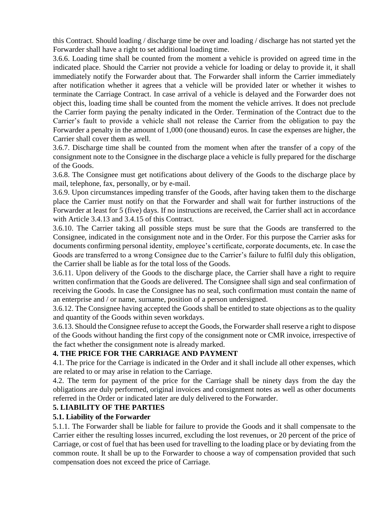this Contract. Should loading / discharge time be over and loading / discharge has not started yet the Forwarder shall have a right to set additional loading time.

3.6.6. Loading time shall be counted from the moment a vehicle is provided on agreed time in the indicated place. Should the Carrier not provide a vehicle for loading or delay to provide it, it shall immediately notify the Forwarder about that. The Forwarder shall inform the Carrier immediately after notification whether it agrees that a vehicle will be provided later or whether it wishes to terminate the Carriage Contract. In case arrival of a vehicle is delayed and the Forwarder does not object this, loading time shall be counted from the moment the vehicle arrives. It does not preclude the Carrier form paying the penalty indicated in the Order. Termination of the Contract due to the Carrier's fault to provide a vehicle shall not release the Carrier from the obligation to pay the Forwarder a penalty in the amount of 1,000 (one thousand) euros. In case the expenses are higher, the Carrier shall cover them as well.

3.6.7. Discharge time shall be counted from the moment when after the transfer of a copy of the consignment note to the Consignee in the discharge place a vehicle is fully prepared for the discharge of the Goods.

3.6.8. The Consignee must get notifications about delivery of the Goods to the discharge place by mail, telephone, fax, personally, or by e-mail.

3.6.9. Upon circumstances impeding transfer of the Goods, after having taken them to the discharge place the Carrier must notify on that the Forwarder and shall wait for further instructions of the Forwarder at least for 5 (five) days. If no instructions are received, the Carrier shall act in accordance with Article 3.4.13 and 3.4.15 of this Contract.

3.6.10. The Carrier taking all possible steps must be sure that the Goods are transferred to the Consignee, indicated in the consignment note and in the Order. For this purpose the Carrier asks for documents confirming personal identity, employee's certificate, corporate documents, etc. In case the Goods are transferred to a wrong Consignee due to the Carrier's failure to fulfil duly this obligation, the Carrier shall be liable as for the total loss of the Goods.

3.6.11. Upon delivery of the Goods to the discharge place, the Carrier shall have a right to require written confirmation that the Goods are delivered. The Consignee shall sign and seal confirmation of receiving the Goods. In case the Consignee has no seal, such confirmation must contain the name of an enterprise and / or name, surname, position of a person undersigned.

3.6.12. The Consignee having accepted the Goods shall be entitled to state objections as to the quality and quantity of the Goods within seven workdays.

3.6.13. Should the Consignee refuse to accept the Goods, the Forwarder shall reserve a right to dispose of the Goods without handing the first copy of the consignment note or CMR invoice, irrespective of the fact whether the consignment note is already marked.

# **4. THE PRICE FOR THE CARRIAGE AND PAYMENT**

4.1. The price for the Carriage is indicated in the Order and it shall include all other expenses, which are related to or may arise in relation to the Carriage.

4.2. The term for payment of the price for the Carriage shall be ninety days from the day the obligations are duly performed, original invoices and consignment notes as well as other documents referred in the Order or indicated later are duly delivered to the Forwarder.

### **5. LIABILITY OF THE PARTIES**

### **5.1. Liability of the Forwarder**

5.1.1. The Forwarder shall be liable for failure to provide the Goods and it shall compensate to the Carrier either the resulting losses incurred, excluding the lost revenues, or 20 percent of the price of Carriage, or cost of fuel that has been used for travelling to the loading place or by deviating from the common route. It shall be up to the Forwarder to choose a way of compensation provided that such compensation does not exceed the price of Carriage.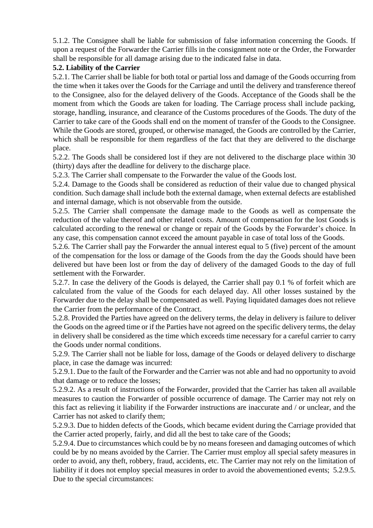5.1.2. The Consignee shall be liable for submission of false information concerning the Goods. If upon a request of the Forwarder the Carrier fills in the consignment note or the Order, the Forwarder shall be responsible for all damage arising due to the indicated false in data.

### **5.2. Liability of the Carrier**

5.2.1. The Carrier shall be liable for both total or partial loss and damage of the Goods occurring from the time when it takes over the Goods for the Carriage and until the delivery and transference thereof to the Consignee, also for the delayed delivery of the Goods. Acceptance of the Goods shall be the moment from which the Goods are taken for loading. The Carriage process shall include packing, storage, handling, insurance, and clearance of the Customs procedures of the Goods. The duty of the Carrier to take care of the Goods shall end on the moment of transfer of the Goods to the Consignee. While the Goods are stored, grouped, or otherwise managed, the Goods are controlled by the Carrier, which shall be responsible for them regardless of the fact that they are delivered to the discharge place.

5.2.2. The Goods shall be considered lost if they are not delivered to the discharge place within 30 (thirty) days after the deadline for delivery to the discharge place.

5.2.3. The Carrier shall compensate to the Forwarder the value of the Goods lost.

5.2.4. Damage to the Goods shall be considered as reduction of their value due to changed physical condition. Such damage shall include both the external damage, when external defects are established and internal damage, which is not observable from the outside.

5.2.5. The Carrier shall compensate the damage made to the Goods as well as compensate the reduction of the value thereof and other related costs. Amount of compensation for the lost Goods is calculated according to the renewal or change or repair of the Goods by the Forwarder's choice. In any case, this compensation cannot exceed the amount payable in case of total loss of the Goods.

5.2.6. The Carrier shall pay the Forwarder the annual interest equal to 5 (five) percent of the amount of the compensation for the loss or damage of the Goods from the day the Goods should have been delivered but have been lost or from the day of delivery of the damaged Goods to the day of full settlement with the Forwarder.

5.2.7. In case the delivery of the Goods is delayed, the Carrier shall pay 0.1 % of forfeit which are calculated from the value of the Goods for each delayed day. All other losses sustained by the Forwarder due to the delay shall be compensated as well. Paying liquidated damages does not relieve the Carrier from the performance of the Contract.

5.2.8. Provided the Parties have agreed on the delivery terms, the delay in delivery is failure to deliver the Goods on the agreed time or if the Parties have not agreed on the specific delivery terms, the delay in delivery shall be considered as the time which exceeds time necessary for a careful carrier to carry the Goods under normal conditions.

5.2.9. The Carrier shall not be liable for loss, damage of the Goods or delayed delivery to discharge place, in case the damage was incurred:

5.2.9.1. Due to the fault of the Forwarder and the Carrier was not able and had no opportunity to avoid that damage or to reduce the losses;

5.2.9.2. As a result of instructions of the Forwarder, provided that the Carrier has taken all available measures to caution the Forwarder of possible occurrence of damage. The Carrier may not rely on this fact as relieving it liability if the Forwarder instructions are inaccurate and / or unclear, and the Carrier has not asked to clarify them;

5.2.9.3. Due to hidden defects of the Goods, which became evident during the Carriage provided that the Carrier acted properly, fairly, and did all the best to take care of the Goods;

5.2.9.4. Due to circumstances which could be by no means foreseen and damaging outcomes of which could be by no means avoided by the Carrier. The Carrier must employ all special safety measures in order to avoid, any theft, robbery, fraud, accidents, etc. The Carrier may not rely on the limitation of liability if it does not employ special measures in order to avoid the abovementioned events; 5.2.9.5. Due to the special circumstances: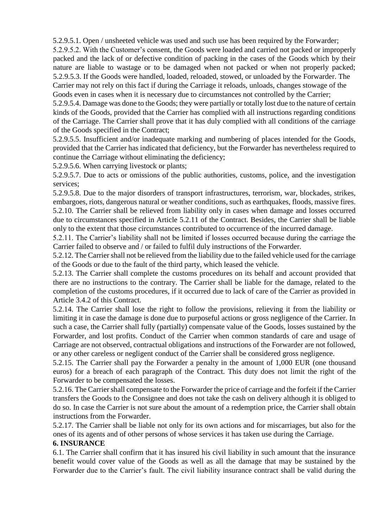5.2.9.5.1. Open / unsheeted vehicle was used and such use has been required by the Forwarder;

5.2.9.5.2. With the Customer's consent, the Goods were loaded and carried not packed or improperly packed and the lack of or defective condition of packing in the cases of the Goods which by their nature are liable to wastage or to be damaged when not packed or when not properly packed; 5.2.9.5.3. If the Goods were handled, loaded, reloaded, stowed, or unloaded by the Forwarder. The Carrier may not rely on this fact if during the Carriage it reloads, unloads, changes stowage of the Goods even in cases when it is necessary due to circumstances not controlled by the Carrier;

5.2.9.5.4. Damage was done to the Goods; they were partially or totally lost due to the nature of certain kinds of the Goods, provided that the Carrier has complied with all instructions regarding conditions of the Carriage. The Carrier shall prove that it has duly complied with all conditions of the carriage of the Goods specified in the Contract;

5.2.9.5.5. Insufficient and/or inadequate marking and numbering of places intended for the Goods, provided that the Carrier has indicated that deficiency, but the Forwarder has nevertheless required to continue the Carriage without eliminating the deficiency;

5.2.9.5.6. When carrying livestock or plants;

5.2.9.5.7. Due to acts or omissions of the public authorities, customs, police, and the investigation services;

5.2.9.5.8. Due to the major disorders of transport infrastructures, terrorism, war, blockades, strikes, embargoes, riots, dangerous natural or weather conditions, such as earthquakes, floods, massive fires. 5.2.10. The Carrier shall be relieved from liability only in cases when damage and losses occurred due to circumstances specified in Article 5.2.11 of the Contract. Besides, the Carrier shall be liable only to the extent that those circumstances contributed to occurrence of the incurred damage.

5.2.11. The Carrier's liability shall not be limited if losses occurred because during the carriage the Carrier failed to observe and / or failed to fulfil duly instructions of the Forwarder.

5.2.12. The Carrier shall not be relieved from the liability due to the failed vehicle used for the carriage of the Goods or due to the fault of the third party, which leased the vehicle.

5.2.13. The Carrier shall complete the customs procedures on its behalf and account provided that there are no instructions to the contrary. The Carrier shall be liable for the damage, related to the completion of the customs procedures, if it occurred due to lack of care of the Carrier as provided in Article 3.4.2 of this Contract.

5.2.14. The Carrier shall lose the right to follow the provisions, relieving it from the liability or limiting it in case the damage is done due to purposeful actions or gross negligence of the Carrier. In such a case, the Carrier shall fully (partially) compensate value of the Goods, losses sustained by the Forwarder, and lost profits. Conduct of the Carrier when common standards of care and usage of Carriage are not observed, contractual obligations and instructions of the Forwarder are not followed, or any other careless or negligent conduct of the Carrier shall be considered gross negligence.

5.2.15. The Carrier shall pay the Forwarder a penalty in the amount of 1,000 EUR (one thousand euros) for a breach of each paragraph of the Contract. This duty does not limit the right of the Forwarder to be compensated the losses.

5.2.16. The Carrier shall compensate to the Forwarder the price of carriage and the forfeit if the Carrier transfers the Goods to the Consignee and does not take the cash on delivery although it is obliged to do so. In case the Carrier is not sure about the amount of a redemption price, the Carrier shall obtain instructions from the Forwarder.

5.2.17. The Carrier shall be liable not only for its own actions and for miscarriages, but also for the ones of its agents and of other persons of whose services it has taken use during the Carriage.

#### **6. INSURANCE**

6.1. The Carrier shall confirm that it has insured his civil liability in such amount that the insurance benefit would cover value of the Goods as well as all the damage that may be sustained by the Forwarder due to the Carrier's fault. The civil liability insurance contract shall be valid during the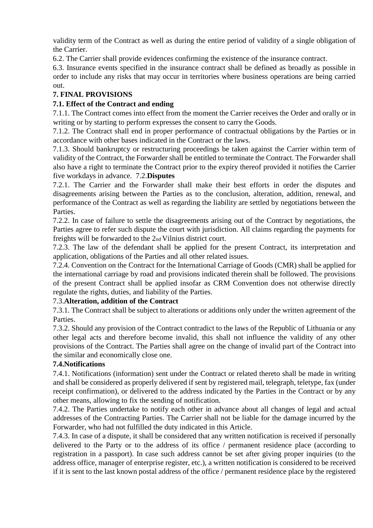validity term of the Contract as well as during the entire period of validity of a single obligation of the Carrier.

6.2. The Carrier shall provide evidences confirming the existence of the insurance contract.

6.3. Insurance events specified in the insurance contract shall be defined as broadly as possible in order to include any risks that may occur in territories where business operations are being carried out.

# **7. FINAL PROVISIONS**

# **7.1. Effect of the Contract and ending**

7.1.1. The Contract comes into effect from the moment the Carrier receives the Order and orally or in writing or by starting to perform expresses the consent to carry the Goods.

7.1.2. The Contract shall end in proper performance of contractual obligations by the Parties or in accordance with other bases indicated in the Contract or the laws.

7.1.3. Should bankruptcy or restructuring proceedings be taken against the Carrier within term of validity of the Contract, the Forwarder shall be entitled to terminate the Contract. The Forwarder shall also have a right to terminate the Contract prior to the expiry thereof provided it notifies the Carrier five workdays in advance. 7.2.**Disputes** 

7.2.1. The Carrier and the Forwarder shall make their best efforts in order the disputes and disagreements arising between the Parties as to the conclusion, alteration, addition, renewal, and performance of the Contract as well as regarding the liability are settled by negotiations between the Parties.

7.2.2. In case of failure to settle the disagreements arising out of the Contract by negotiations, the Parties agree to refer such dispute the court with jurisdiction. All claims regarding the payments for freights will be forwarded to the 2nd Vilnius district court.

7.2.3. The law of the defendant shall be applied for the present Contract, its interpretation and application, obligations of the Parties and all other related issues.

7.2.4. Convention on the Contract for the International Carriage of Goods (CMR) shall be applied for the international carriage by road and provisions indicated therein shall be followed. The provisions of the present Contract shall be applied insofar as CRM Convention does not otherwise directly regulate the rights, duties, and liability of the Parties.

# 7.3.**Alteration, addition of the Contract**

7.3.1. The Contract shall be subject to alterations or additions only under the written agreement of the Parties.

7.3.2. Should any provision of the Contract contradict to the laws of the Republic of Lithuania or any other legal acts and therefore become invalid, this shall not influence the validity of any other provisions of the Contract. The Parties shall agree on the change of invalid part of the Contract into the similar and economically close one.

# **7.4.Notifications**

7.4.1. Notifications (information) sent under the Contract or related thereto shall be made in writing and shall be considered as properly delivered if sent by registered mail, telegraph, teletype, fax (under receipt confirmation), or delivered to the address indicated by the Parties in the Contract or by any other means, allowing to fix the sending of notification.

7.4.2. The Parties undertake to notify each other in advance about all changes of legal and actual addresses of the Contracting Parties. The Carrier shall not be liable for the damage incurred by the Forwarder, who had not fulfilled the duty indicated in this Article.

7.4.3. In case of a dispute, it shall be considered that any written notification is received if personally delivered to the Party or to the address of its office / permanent residence place (according to registration in a passport). In case such address cannot be set after giving proper inquiries (to the address office, manager of enterprise register, etc.), a written notification is considered to be received if it is sent to the last known postal address of the office / permanent residence place by the registered